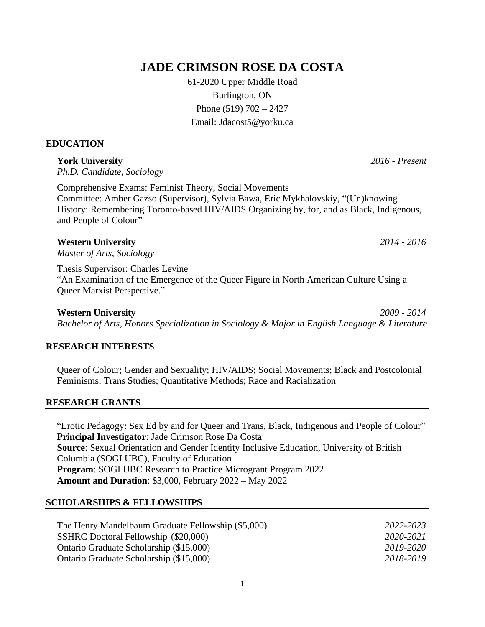# **JADE CRIMSON ROSE DA COSTA**

61-2020 Upper Middle Road Burlington, ON Phone (519) 702 – 2427 Email: Jdacost5@yorku.ca

#### **EDUCATION**

## **York University** *2016 - Present*

*Ph.D. Candidate, Sociology* 

Comprehensive Exams: Feminist Theory, Social Movements Committee: Amber Gazso (Supervisor), Sylvia Bawa, Eric Mykhalovskiy, "(Un)knowing History: Remembering Toronto-based HIV/AIDS Organizing by, for, and as Black, Indigenous, and People of Colour"

## **Western University** *2014 - 2016*

*Master of Arts, Sociology* 

Thesis Supervisor: Charles Levine "An Examination of the Emergence of the Queer Figure in North American Culture Using a Queer Marxist Perspective."

**Western University** *2009 - 2014 Bachelor of Arts, Honors Specialization in Sociology & Major in English Language & Literature*

## **RESEARCH INTERESTS**

Queer of Colour; Gender and Sexuality; HIV/AIDS; Social Movements; Black and Postcolonial Feminisms; Trans Studies; Quantitative Methods; Race and Racialization

#### **RESEARCH GRANTS**

["Erotic Pedagogy: Sex Ed by and for Queer and Trans, Black, Indigenous](https://www.instagram.com/eroticpedagogy/) and People of Colour" **Principal Investigator**: Jade Crimson Rose Da Costa **Source**: Sexual Orientation and Gender Identity Inclusive Education, University of British Columbia (SOGI UBC), Faculty of Education **Program**: SOGI UBC Research to Practice Microgrant Program 2022 **Amount and Duration**: \$3,000, February 2022 – May 2022

## **SCHOLARSHIPS & FELLOWSHIPS**

| The Henry Mandelbaum Graduate Fellowship (\$5,000) | 2022-2023 |
|----------------------------------------------------|-----------|
| SSHRC Doctoral Fellowship (\$20,000)               | 2020-2021 |
| Ontario Graduate Scholarship (\$15,000)            | 2019-2020 |
| Ontario Graduate Scholarship (\$15,000)            | 2018-2019 |

1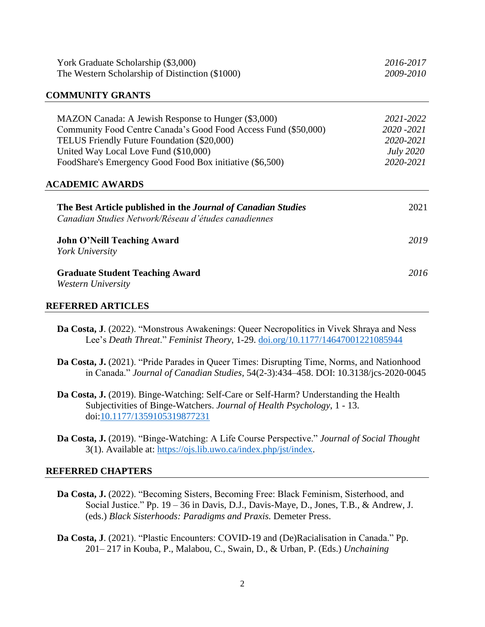| York Graduate Scholarship (\$3,000)                                                                                   | 2016-2017        |
|-----------------------------------------------------------------------------------------------------------------------|------------------|
| The Western Scholarship of Distinction (\$1000)                                                                       | 2009-2010        |
| <b>COMMUNITY GRANTS</b>                                                                                               |                  |
| MAZON Canada: A Jewish Response to Hunger (\$3,000)                                                                   | 2021-2022        |
| Community Food Centre Canada's Good Food Access Fund (\$50,000)                                                       | 2020 - 2021      |
| TELUS Friendly Future Foundation (\$20,000)                                                                           | 2020-2021        |
| United Way Local Love Fund (\$10,000)                                                                                 | <i>July</i> 2020 |
| FoodShare's Emergency Good Food Box initiative (\$6,500)                                                              | 2020-2021        |
| <b>ACADEMIC AWARDS</b>                                                                                                |                  |
| The Best Article published in the Journal of Canadian Studies<br>Canadian Studies Network/Réseau d'études canadiennes | 2021             |
| <b>John O'Neill Teaching Award</b>                                                                                    | 2019             |
| York University                                                                                                       |                  |
| <b>Graduate Student Teaching Award</b>                                                                                | 2016             |

### **REFERRED ARTICLES**

- **Da Costa, J**. (2022). "Monstrous Awakenings: Queer Necropolitics in Vivek Shraya and Ness Lee's *Death Threat*." *Feminist Theory*, 1-29. [doi.org/10.1177/14647001221085944](https://doi.org/10.1177/14647001221085944)
- **Da Costa, J.** (2021). "Pride Parades in Queer Times: Disrupting Time, Norms, and Nationhood in Canada." *Journal of Canadian Studies*, 54(2-3):434–458. DOI: 10.3138/jcs-2020-0045
- **Da Costa, J.** (2019). Binge-Watching: Self-Care or Self-Harm? Understanding the Health Subjectivities of Binge-Watchers. *Journal of Health Psychology*, 1 - 13. doi[:10.1177/1359105319877231](https://doi.org/10.1177/1359105319877231)
- **Da Costa, J.** (2019). "Binge-Watching: A Life Course Perspective." *Journal of Social Thought* 3(1). Available at: [https://ojs.lib.uwo.ca/index.php/jst/index.](https://ojs.lib.uwo.ca/index.php/jst/index)

#### **REFERRED CHAPTERS**

- **Da Costa, J.** (2022). "Becoming Sisters, Becoming Free: Black Feminism, Sisterhood, and Social Justice." Pp. 19 – 36 in Davis, D.J., Davis-Maye, D., Jones, T.B., & Andrew, J. (eds.) *Black Sisterhoods: Paradigms and Praxis.* Demeter Press.
- **Da Costa, J**. (2021). "Plastic Encounters: COVID-19 and (De)Racialisation in Canada." Pp. 201– 217 in Kouba, P., Malabou, C., Swain, D., & Urban, P. (Eds.) *Unchaining*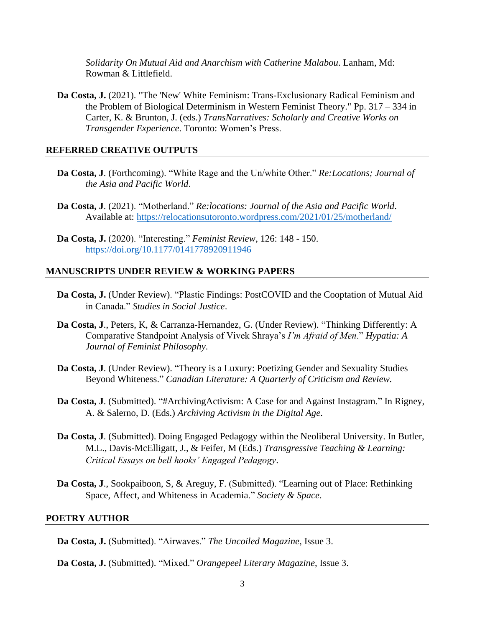*Solidarity On Mutual Aid and Anarchism with Catherine Malabou*. Lanham, Md: Rowman & Littlefield.

**Da Costa, J.** (2021). "The 'New' White Feminism: Trans-Exclusionary Radical Feminism and the Problem of Biological Determinism in Western Feminist Theory." Pp. 317 – 334 in Carter, K. & Brunton, J. (eds.) *TransNarratives: Scholarly and Creative Works on Transgender Experience*. Toronto: Women's Press.

#### **REFERRED CREATIVE OUTPUTS**

- **Da Costa, J**. (Forthcoming). "White Rage and the Un/white Other." *Re:Locations; Journal of the Asia and Pacific World*.
- **Da Costa, J**. (2021). "Motherland." *Re:locations: Journal of the Asia and Pacific World*. Available at:<https://relocationsutoronto.wordpress.com/2021/01/25/motherland/>
- **Da Costa, J.** (2020). "Interesting." *Feminist Review*, 126: 148 150. <https://doi.org/10.1177/0141778920911946>

#### **MANUSCRIPTS UNDER REVIEW & WORKING PAPERS**

- **Da Costa, J.** (Under Review). "Plastic Findings: PostCOVID and the Cooptation of Mutual Aid in Canada." *Studies in Social Justice*.
- **Da Costa, J**., Peters, K, & Carranza-Hernandez, G. (Under Review). "Thinking Differently: A Comparative Standpoint Analysis of Vivek Shraya's *I'm Afraid of Men*." *Hypatia: A Journal of Feminist Philosophy*.
- **Da Costa, J**. (Under Review). "Theory is a Luxury: Poetizing Gender and Sexuality Studies Beyond Whiteness." *Canadian Literature: A Quarterly of Criticism and Review.*
- **Da Costa, J**. (Submitted). "#ArchivingActivism: A Case for and Against Instagram." In Rigney, A. & Salerno, D. (Eds.) *Archiving Activism in the Digital Age*.
- **Da Costa, J**. (Submitted). Doing Engaged Pedagogy within the Neoliberal University. In Butler, M.L., Davis-McElligatt, J., & Feifer, M (Eds.) *Transgressive Teaching & Learning: Critical Essays on bell hooks' Engaged Pedagogy*.
- **Da Costa, J**., Sookpaiboon, S, & Areguy, F. (Submitted). "Learning out of Place: Rethinking Space, Affect, and Whiteness in Academia." *Society & Space*.

#### **POETRY AUTHOR**

- **Da Costa, J.** (Submitted). "Airwaves." *The Uncoiled Magazine*, Issue 3.
- **Da Costa, J.** (Submitted). "Mixed." *Orangepeel Literary Magazine*, Issue 3.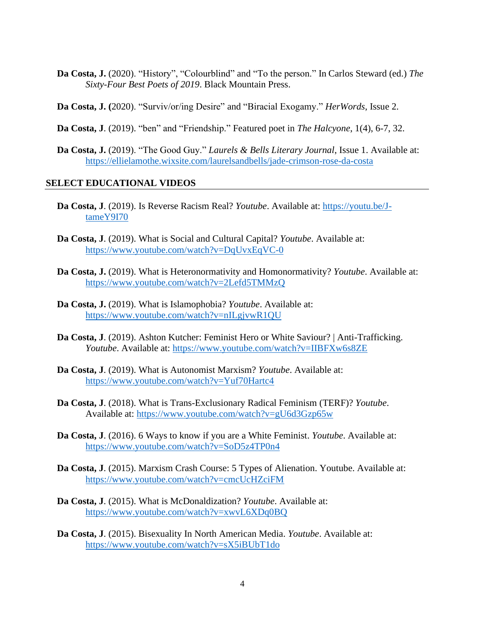- **Da Costa, J.** (2020). "History", "Colourblind" and "To the person." In Carlos Steward (ed.) *The Sixty-Four Best Poets of 2019*. Black Mountain Press.
- **Da Costa, J. (**2020). "Surviv/or/ing Desire" and "Biracial Exogamy." *HerWords*, Issue 2.
- **Da Costa, J**. (2019). "ben" and "Friendship." Featured poet in *The Halcyone*, 1(4), 6-7, 32.
- **Da Costa, J.** (2019). "The Good Guy." *Laurels & Bells Literary Journal*, Issue 1. Available at: <https://ellielamothe.wixsite.com/laurelsandbells/jade-crimson-rose-da-costa>

#### **SELECT EDUCATIONAL VIDEOS**

- **Da Costa, J**. (2019). Is Reverse Racism Real? *Youtube*. Available at: [https://youtu.be/J](https://youtu.be/J-tameY9I70)[tameY9I70](https://youtu.be/J-tameY9I70)
- **Da Costa, J**. (2019). What is Social and Cultural Capital? *Youtube*. Available at: <https://www.youtube.com/watch?v=DqUvxEqVC-0>
- **Da Costa, J.** (2019). What is Heteronormativity and Homonormativity? *Youtube*. Available at: <https://www.youtube.com/watch?v=2Lefd5TMMzQ>
- **Da Costa, J.** (2019). What is Islamophobia? *Youtube*. Available at: <https://www.youtube.com/watch?v=nILgjvwR1QU>
- **Da Costa, J**. (2019). Ashton Kutcher: Feminist Hero or White Saviour? | Anti-Trafficking. *Youtube*. Available at:<https://www.youtube.com/watch?v=IIBFXw6s8ZE>
- **Da Costa, J**. (2019). What is Autonomist Marxism? *Youtube*. Available at: <https://www.youtube.com/watch?v=Yuf70Hartc4>
- **Da Costa, J**. (2018). What is Trans-Exclusionary Radical Feminism (TERF)? *Youtube*. Available at:<https://www.youtube.com/watch?v=gU6d3Gzp65w>
- **Da Costa, J**. (2016). 6 Ways to know if you are a White Feminist. *Youtube*. Available at: <https://www.youtube.com/watch?v=SoD5z4TP0n4>
- **Da Costa, J**. (2015). Marxism Crash Course: 5 Types of Alienation. Youtube. Available at: <https://www.youtube.com/watch?v=cmcUcHZciFM>
- **Da Costa, J**. (2015). What is McDonaldization? *Youtube*. Available at: <https://www.youtube.com/watch?v=xwvL6XDq0BQ>
- **Da Costa, J**. (2015). Bisexuality In North American Media. *Youtube*. Available at: <https://www.youtube.com/watch?v=sX5iBUbT1do>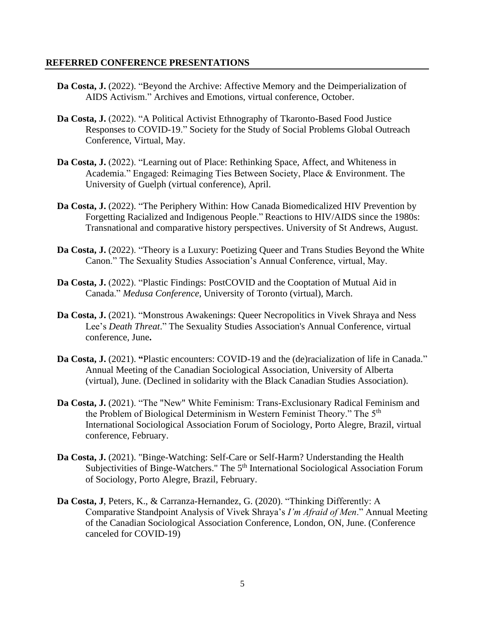### **REFERRED CONFERENCE PRESENTATIONS**

- Da Costa, J. (2022). "Beyond the Archive: Affective Memory and the Deimperialization of AIDS Activism." Archives and Emotions, virtual conference, October.
- **Da Costa, J.** (2022). "A Political Activist Ethnography of Tkaronto-Based Food Justice Responses to COVID-19." Society for the Study of Social Problems Global Outreach Conference, Virtual, May.
- Da Costa, J. (2022). "Learning out of Place: Rethinking Space, Affect, and Whiteness in Academia." Engaged: Reimaging Ties Between Society, Place & Environment. The University of Guelph (virtual conference), April.
- Da Costa, J. (2022). "The Periphery Within: How Canada Biomedicalized HIV Prevention by Forgetting Racialized and Indigenous People." Reactions to HIV/AIDS since the 1980s: Transnational and comparative history perspectives. University of St Andrews, August.
- Da Costa, J. (2022). "Theory is a Luxury: Poetizing Queer and Trans Studies Beyond the White Canon." The Sexuality Studies Association's Annual Conference, virtual, May.
- **Da Costa, J.** (2022). "Plastic Findings: PostCOVID and the Cooptation of Mutual Aid in Canada." *Medusa Conference*, University of Toronto (virtual), March.
- **Da Costa, J.** (2021). "Monstrous Awakenings: Queer Necropolitics in Vivek Shraya and Ness Lee's *Death Threat*." The Sexuality Studies Association's Annual Conference, virtual conference, June**.**
- **Da Costa, J.** (2021). "Plastic encounters: COVID-19 and the (de)racialization of life in Canada." Annual Meeting of the Canadian Sociological Association, University of Alberta (virtual), June. (Declined in solidarity with the Black Canadian Studies Association).
- **Da Costa, J.** (2021). "The "New" White Feminism: Trans-Exclusionary Radical Feminism and the Problem of Biological Determinism in Western Feminist Theory." The 5<sup>th</sup> International Sociological Association Forum of Sociology, Porto Alegre, Brazil, virtual conference, February.
- **Da Costa, J.** (2021). "Binge-Watching: Self-Care or Self-Harm? Understanding the Health Subjectivities of Binge-Watchers." The 5<sup>th</sup> International Sociological Association Forum of Sociology, Porto Alegre, Brazil, February.
- **Da Costa, J**, Peters, K., & Carranza-Hernandez, G. (2020). "Thinking Differently: A Comparative Standpoint Analysis of Vivek Shraya's *I'm Afraid of Men*." Annual Meeting of the Canadian Sociological Association Conference, London, ON, June. (Conference canceled for COVID-19)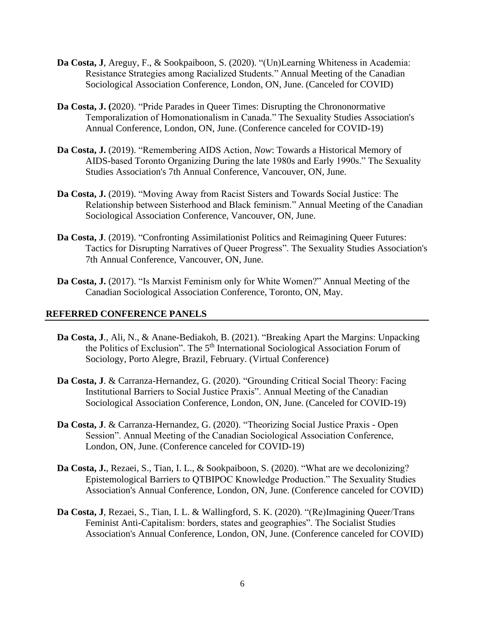- **Da Costa, J**, Areguy, F., & Sookpaiboon, S. (2020). "(Un)Learning Whiteness in Academia: Resistance Strategies among Racialized Students." Annual Meeting of the Canadian Sociological Association Conference, London, ON, June. (Canceled for COVID)
- **Da Costa, J. (**2020). "Pride Parades in Queer Times: Disrupting the Chrononormative Temporalization of Homonationalism in Canada." The Sexuality Studies Association's Annual Conference, London, ON, June. (Conference canceled for COVID-19)
- **Da Costa, J.** (2019). "Remembering AIDS Action, *Now*: Towards a Historical Memory of AIDS-based Toronto Organizing During the late 1980s and Early 1990s." The Sexuality Studies Association's 7th Annual Conference, Vancouver, ON, June.
- **Da Costa, J.** (2019). "Moving Away from Racist Sisters and Towards Social Justice: The Relationship between Sisterhood and Black feminism." Annual Meeting of the Canadian Sociological Association Conference, Vancouver, ON, June.
- **Da Costa, J**. (2019). "Confronting Assimilationist Politics and Reimagining Queer Futures: Tactics for Disrupting Narratives of Queer Progress". The Sexuality Studies Association's 7th Annual Conference, Vancouver, ON, June.
- **Da Costa, J.** (2017). "Is Marxist Feminism only for White Women?" Annual Meeting of the Canadian Sociological Association Conference, Toronto, ON, May.

## **REFERRED CONFERENCE PANELS**

- **Da Costa, J**., Ali, N., & Anane-Bediakoh, B. (2021). "Breaking Apart the Margins: Unpacking the Politics of Exclusion". The 5<sup>th</sup> International Sociological Association Forum of Sociology, Porto Alegre, Brazil, February. (Virtual Conference)
- **Da Costa, J**. & Carranza-Hernandez, G. (2020). "Grounding Critical Social Theory: Facing Institutional Barriers to Social Justice Praxis". Annual Meeting of the Canadian Sociological Association Conference, London, ON, June. (Canceled for COVID-19)
- **Da Costa, J**. & Carranza-Hernandez, G. (2020). "Theorizing Social Justice Praxis Open Session". Annual Meeting of the Canadian Sociological Association Conference, London, ON, June. (Conference canceled for COVID-19)
- **Da Costa, J.**, Rezaei, S., Tian, I. L., & Sookpaiboon, S. (2020). "What are we decolonizing? Epistemological Barriers to QTBIPOC Knowledge Production." The Sexuality Studies Association's Annual Conference, London, ON, June. (Conference canceled for COVID)
- **Da Costa, J**, Rezaei, S., Tian, I. L. & Wallingford, S. K. (2020). "(Re)Imagining Queer/Trans Feminist Anti-Capitalism: borders, states and geographies". The Socialist Studies Association's Annual Conference, London, ON, June. (Conference canceled for COVID)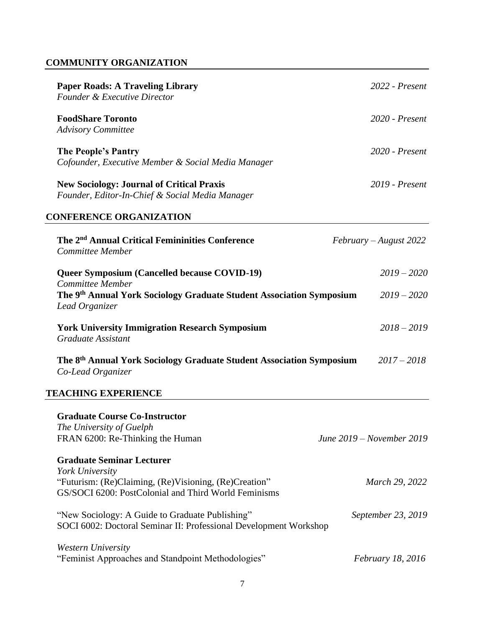## **COMMUNITY ORGANIZATION**

| <b>Paper Roads: A Traveling Library</b><br><b>Founder &amp; Executive Director</b>                                     | $2022$ - Present |
|------------------------------------------------------------------------------------------------------------------------|------------------|
| <b>FoodShare Toronto</b><br><b>Advisory Committee</b>                                                                  | $2020$ - Present |
| The People's Pantry<br>Cofounder, Executive Member & Social Media Manager                                              | $2020$ - Present |
| <b>New Sociology: Journal of Critical Praxis</b><br>$\mathbf{1}$ ru $\mathbf{1}$ radio $\mathbf{0}$ radio $\mathbf{1}$ | $2019$ - Present |

*Founder, Editor-In-Chief & Social Media Manager*

## **CONFERENCE ORGANIZATION**

| The 2 <sup>nd</sup> Annual Critical Femininities Conference<br>Committee Member                                      | $February$ – August 2022  |
|----------------------------------------------------------------------------------------------------------------------|---------------------------|
| <b>Queer Symposium (Cancelled because COVID-19)</b><br>Committee Member                                              | $2019 - 2020$             |
| The 9 <sup>th</sup> Annual York Sociology Graduate Student Association Symposium<br>Lead Organizer                   | $2019 - 2020$             |
| <b>York University Immigration Research Symposium</b><br>Graduate Assistant                                          | $2018 - 2019$             |
| The 8 <sup>th</sup> Annual York Sociology Graduate Student Association Symposium<br>Co-Lead Organizer                | $2017 - 2018$             |
| <b>TEACHING EXPERIENCE</b>                                                                                           |                           |
| <b>Graduate Course Co-Instructor</b>                                                                                 |                           |
| The University of Guelph<br>FRAN 6200: Re-Thinking the Human                                                         | June 2019 – November 2019 |
| <b>Graduate Seminar Lecturer</b><br>York University                                                                  |                           |
| "Futurism: (Re)Claiming, (Re)Visioning, (Re)Creation"<br>GS/SOCI 6200: PostColonial and Third World Feminisms        | March 29, 2022            |
| "New Sociology: A Guide to Graduate Publishing"<br>SOCI 6002: Doctoral Seminar II: Professional Development Workshop | September 23, 2019        |
| <b>Western University</b><br>"Feminist Approaches and Standpoint Methodologies"                                      | <i>February 18, 2016</i>  |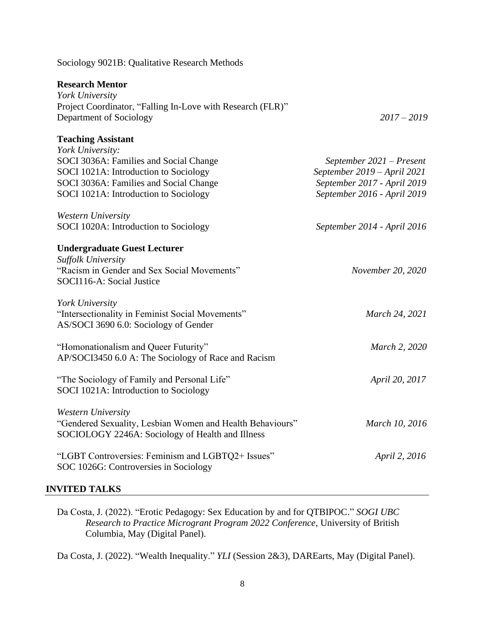## Sociology 9021B: Qualitative Research Methods

## **Research Mentor**

| York University<br>Project Coordinator, "Falling In-Love with Research (FLR)"<br>Department of Sociology                                                                               | $2017 - 2019$                                                                                                         |
|----------------------------------------------------------------------------------------------------------------------------------------------------------------------------------------|-----------------------------------------------------------------------------------------------------------------------|
| <b>Teaching Assistant</b>                                                                                                                                                              |                                                                                                                       |
| York University:<br>SOCI 3036A: Families and Social Change<br>SOCI 1021A: Introduction to Sociology<br>SOCI 3036A: Families and Social Change<br>SOCI 1021A: Introduction to Sociology | September 2021 – Present<br>September 2019 - April 2021<br>September 2017 - April 2019<br>September 2016 - April 2019 |
| <b>Western University</b><br>SOCI 1020A: Introduction to Sociology                                                                                                                     | September 2014 - April 2016                                                                                           |
| <b>Undergraduate Guest Lecturer</b><br><b>Suffolk University</b><br>"Racism in Gender and Sex Social Movements"<br>SOCI116-A: Social Justice                                           | November 20, 2020                                                                                                     |
| York University<br>"Intersectionality in Feminist Social Movements"<br>AS/SOCI 3690 6.0: Sociology of Gender                                                                           | March 24, 2021                                                                                                        |
| "Homonationalism and Queer Futurity"<br>AP/SOCI3450 6.0 A: The Sociology of Race and Racism                                                                                            | March 2, 2020                                                                                                         |
| "The Sociology of Family and Personal Life"<br>SOCI 1021A: Introduction to Sociology                                                                                                   | April 20, 2017                                                                                                        |
| Western University<br>"Gendered Sexuality, Lesbian Women and Health Behaviours"<br>SOCIOLOGY 2246A: Sociology of Health and Illness                                                    | March 10, 2016                                                                                                        |
| "LGBT Controversies: Feminism and LGBTQ2+ Issues"<br>SOC 1026G: Controversies in Sociology                                                                                             | April 2, 2016                                                                                                         |

### **INVITED TALKS**

Da Costa, J. (2022). "Erotic Pedagogy: Sex Education by and for QTBIPOC." *SOGI UBC Research to Practice Microgrant Program 2022 Conference*, University of British Columbia, May (Digital Panel).

Da Costa, J. (2022). "Wealth Inequality." *YLI* (Session 2&3), DAREarts, May (Digital Panel).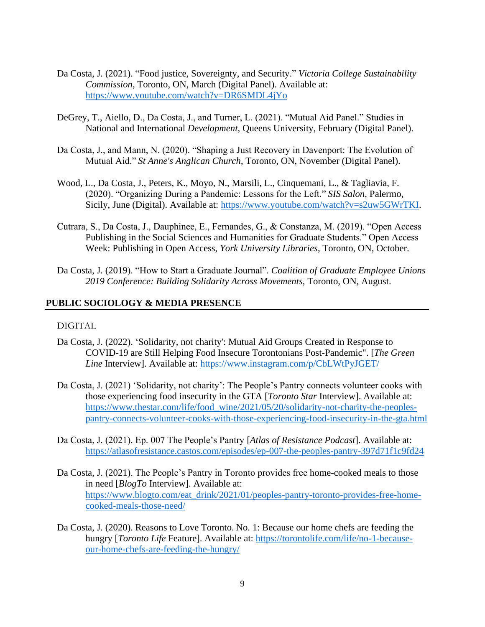- Da Costa, J. (2021). "Food justice, Sovereignty, and Security." *Victoria College Sustainability Commission*, Toronto, ON, March (Digital Panel). Available at: https://www.youtube.com/watch?v=DR6SMDL4jYo
- DeGrey, T., Aiello, D., Da Costa, J., and Turner, L. (2021). "Mutual Aid Panel." Studies in National and International *Development*, Queens University, February (Digital Panel).
- Da Costa, J., and Mann, N. (2020). "Shaping a Just Recovery in Davenport: The Evolution of Mutual Aid." *St Anne's Anglican Church*, Toronto, ON, November (Digital Panel).
- Wood, L., Da Costa, J., Peters, K., Moyo, N., Marsili, L., Cinquemani, L., & Tagliavia, F. (2020). "Organizing During a Pandemic: Lessons for the Left." *SIS Salon*, Palermo, Sicily, June (Digital). Available at: https://www.youtube.com/watch?v=s2uw5GWrTKI.
- Cutrara, S., Da Costa, J., Dauphinee, E., Fernandes, G., & Constanza, M. (2019). "Open Access Publishing in the Social Sciences and Humanities for Graduate Students." Open Access Week: Publishing in Open Access, *York University Libraries*, Toronto, ON, October.
- Da Costa, J. (2019). "How to Start a Graduate Journal". *Coalition of Graduate Employee Unions 2019 Conference: Building Solidarity Across Movements*, Toronto, ON, August.

### **PUBLIC SOCIOLOGY & MEDIA PRESENCE**

#### DIGITAL

- Da Costa, J. (2022). 'Solidarity, not charity': Mutual Aid Groups Created in Response to COVID-19 are Still Helping Food Insecure Torontonians Post-Pandemic". [*The Green Line* Interview]. Available at: https://www.instagram.com/p/CbLWtPyJGET/
- Da Costa, J. (2021) 'Solidarity, not charity': The People's Pantry connects volunteer cooks with those experiencing food insecurity in the GTA [*Toronto Star* Interview]. Available at: https://www.thestar.com/life/food\_wine/2021/05/20/solidarity-not-charity-the-peoplespantry-connects-volunteer-cooks-with-those-experiencing-food-insecurity-in-the-gta.html
- Da Costa, J. (2021). Ep. 007 The People's Pantry [*Atlas of Resistance Podcast*]. Available at: https://atlasofresistance.castos.com/episodes/ep-007-the-peoples-pantry-397d71f1c9fd24
- Da Costa, J. (2021). The People's Pantry in Toronto provides free home-cooked meals to those in need [*BlogTo* Interview]. Available at: https://www.blogto.com/eat\_drink/2021/01/peoples-pantry-toronto-provides-free-homecooked-meals-those-need/
- Da Costa, J. (2020). Reasons to Love Toronto. No. 1: Because our home chefs are feeding the hungry [*Toronto Life* Feature]. Available at: https://torontolife.com/life/no-1-becauseour-home-chefs-are-feeding-the-hungry/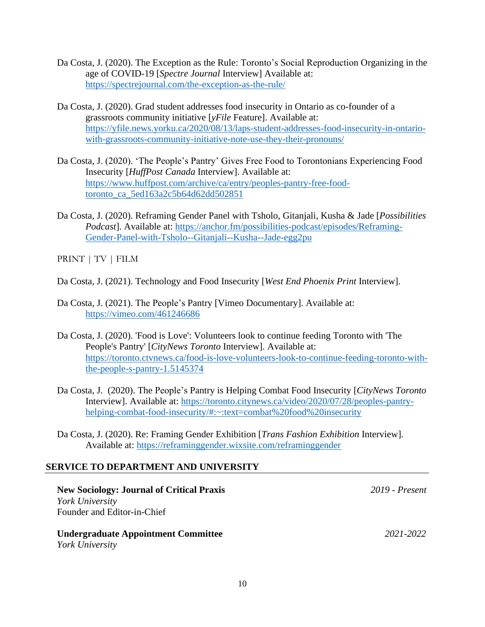- Da Costa, J. (2020). The Exception as the Rule: Toronto's Social Reproduction Organizing in the age of COVID-19 [*Spectre Journal* Interview] Available at: https://spectrejournal.com/the-exception-as-the-rule/
- Da Costa, J. (2020). Grad student addresses food insecurity in Ontario as co-founder of a grassroots community initiative [*yFile* Feature]. Available at: https://yfile.news.yorku.ca/2020/08/13/laps-student-addresses-food-insecurity-in-ontariowith-grassroots-community-initiative-note-use-they-their-pronouns/
- Da Costa, J. (2020). 'The People's Pantry' Gives Free Food to Torontonians Experiencing Food Insecurity [*HuffPost Canada* Interview]. Available at: https://www.huffpost.com/archive/ca/entry/peoples-pantry-free-foodtoronto\_ca\_5ed163a2c5b64d62dd502851
- Da Costa, J. (2020). Reframing Gender Panel with Tsholo, Gitanjali, Kusha & Jade [*Possibilities Podcast*]. Available at: https://anchor.fm/possibilities-podcast/episodes/Reframing-Gender-Panel-with-Tsholo--Gitanjali--Kusha--Jade-egg2pu

PRINT | TV | FILM

Da Costa, J. (2021). Technology and Food Insecurity [*West End Phoenix Print* Interview].

- Da Costa, J. (2021). The People's Pantry [Vimeo Documentary]. Available at: https://vimeo.com/461246686
- Da Costa, J. (2020). 'Food is Love': Volunteers look to continue feeding Toronto with 'The People's Pantry' [*CityNews Toronto* Interview]. Available at: https://toronto.ctvnews.ca/food-is-love-volunteers-look-to-continue-feeding-toronto-withthe-people-s-pantry-1.5145374
- Da Costa, J. (2020). The People's Pantry is Helping Combat Food Insecurity [*CityNews Toronto* Interview]. Available at: https://toronto.citynews.ca/video/2020/07/28/peoples-pantryhelping-combat-food-insecurity/#:~:text=combat%20food%20insecurity

Da Costa, J. (2020). Re: Framing Gender Exhibition [*Trans Fashion Exhibition* Interview]. Available at: https://reframinggender.wixsite.com/reframinggender

## **SERVICE TO DEPARTMENT AND UNIVERSITY**

**New Sociology: Journal of Critical Praxis** *2019 - Present York University* Founder and Editor-in-Chief

**Undergraduate Appointment Committee** *2021-2022 York University*